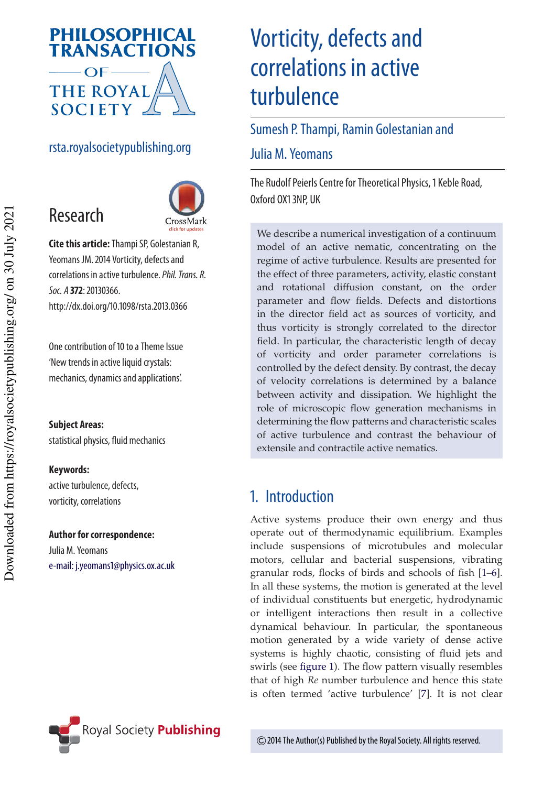

# rsta.royalsocietypublishing.org



**Cite this article:**Thampi SP, Golestanian R, Yeomans JM. 2014 Vorticity, defects and correlations in active turbulence.Phil. Trans. R. Soc. A **372**: 20130366. http://dx.doi.org/10.1098/rsta.2013.0366

One contribution of 10 to a Theme Issue 'New trends in active liquid crystals: mechanics, dynamics and applications'.

#### **Subject Areas:**

Research

statistical physics, fluid mechanics

#### **Keywords:**

active turbulence, defects, vorticity, correlations

#### **Author for correspondence:** Julia M. Yeomans

e-mail: j.yeomans1@physics.ox.ac.uk

# Vorticity, defects and correlations in active turbulence

# Sumesh P. Thampi, Ramin Golestanian and

## Julia M. Yeomans

The Rudolf Peierls Centre for Theoretical Physics, 1 Keble Road, Oxford OX1 3NP, UK

We describe a numerical investigation of a continuum model of an active nematic, concentrating on the regime of active turbulence. Results are presented for the effect of three parameters, activity, elastic constant and rotational diffusion constant, on the order parameter and flow fields. Defects and distortions in the director field act as sources of vorticity, and thus vorticity is strongly correlated to the director field. In particular, the characteristic length of decay of vorticity and order parameter correlations is controlled by the defect density. By contrast, the decay of velocity correlations is determined by a balance between activity and dissipation. We highlight the role of microscopic flow generation mechanisms in determining the flow patterns and characteristic scales of active turbulence and contrast the behaviour of extensile and contractile active nematics.

# 1. Introduction

Active systems produce their own energy and thus operate out of thermodynamic equilibrium. Examples include suspensions of microtubules and molecular motors, cellular and bacterial suspensions, vibrating granular rods, flocks of birds and schools of fish [1–6]. In all these systems, the motion is generated at the level of individual constituents but energetic, hydrodynamic or intelligent interactions then result in a collective dynamical behaviour. In particular, the spontaneous motion generated by a wide variety of dense active systems is highly chaotic, consisting of fluid jets and swirls (see figure 1). The flow pattern visually resembles that of high *Re* number turbulence and hence this state is often termed 'active turbulence' [7]. It is not clear

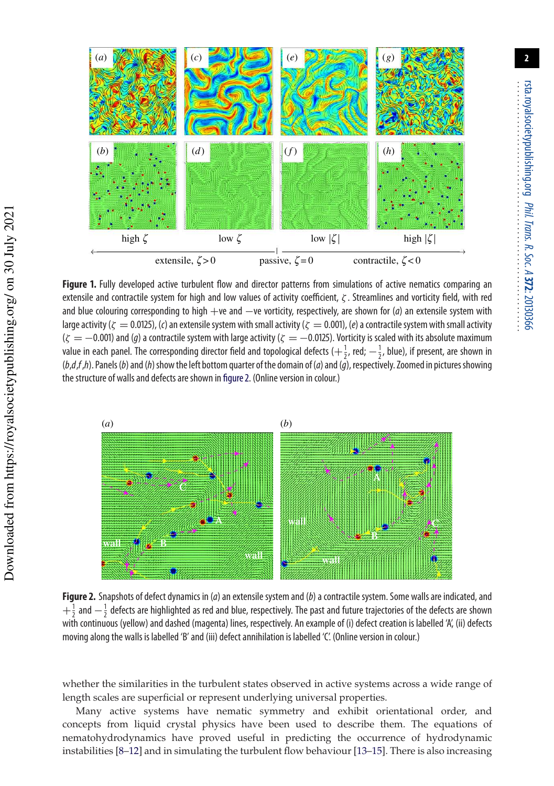

**Figure 1.** Fully developed active turbulent flow and director patterns from simulations of active nematics comparing an extensile and contractile system for high and low values of activity coefficient, ζ . Streamlines and vorticity field, with red and blue colouring corresponding to high  $+ve$  and  $-ve$  vorticity, respectively, are shown for (*a*) an extensile system with large activity ( $\zeta = 0.0125$ ), (c) an extensile system with small activity ( $\zeta = 0.001$ ), (e) a contractile system with small activity  $(\zeta = -0.001)$  and (g) a contractile system with large activity ( $\zeta = -0.0125$ ). Vorticity is scaled with its absolute maximum value in each panel. The corresponding director field and topological defects  $\left(+\frac{1}{2}, \text{ red}, -\frac{1}{2}, \text{ blue}\right)$ , if present, are shown in  $(b,d,f,h)$ . Panels (b) and (h) show the left bottom quarter of the domain of (a) and (q), respectively. Zoomed in pictures showing the structure of walls and defects are shown in figure 2. (Online version in colour.)



Figure 2. Snapshots of defect dynamics in (a) an extensile system and (b) a contractile system. Some walls are indicated, and  $+\frac{1}{2}$  and  $-\frac{1}{2}$  defects are highlighted as red and blue, respectively. The past and future trajectories of the defects are shown with continuous (yellow) and dashed (magenta) lines, respectively. An example of (i) defect creation is labelled 'A', (ii) defects moving along the walls is labelled 'B' and (iii) defect annihilation is labelled 'C'. (Online version in colour.)

whether the similarities in the turbulent states observed in active systems across a wide range of length scales are superficial or represent underlying universal properties.

Many active systems have nematic symmetry and exhibit orientational order, and concepts from liquid crystal physics have been used to describe them. The equations of nematohydrodynamics have proved useful in predicting the occurrence of hydrodynamic instabilities [8–12] and in simulating the turbulent flow behaviour [13–15]. There is also increasing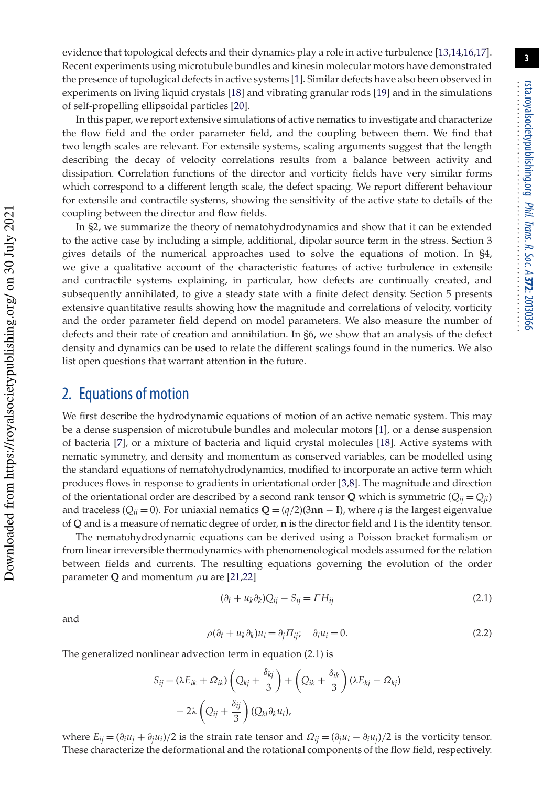evidence that topological defects and their dynamics play a role in active turbulence [13,14,16,17]. Recent experiments using microtubule bundles and kinesin molecular motors have demonstrated the presence of topological defects in active systems [1]. Similar defects have also been observed in experiments on living liquid crystals [18] and vibrating granular rods [19] and in the simulations of self-propelling ellipsoidal particles [20].

In this paper, we report extensive simulations of active nematics to investigate and characterize the flow field and the order parameter field, and the coupling between them. We find that two length scales are relevant. For extensile systems, scaling arguments suggest that the length describing the decay of velocity correlations results from a balance between activity and dissipation. Correlation functions of the director and vorticity fields have very similar forms which correspond to a different length scale, the defect spacing. We report different behaviour for extensile and contractile systems, showing the sensitivity of the active state to details of the coupling between the director and flow fields.

In §2, we summarize the theory of nematohydrodynamics and show that it can be extended to the active case by including a simple, additional, dipolar source term in the stress. Section 3 gives details of the numerical approaches used to solve the equations of motion. In §4, we give a qualitative account of the characteristic features of active turbulence in extensile and contractile systems explaining, in particular, how defects are continually created, and subsequently annihilated, to give a steady state with a finite defect density. Section 5 presents extensive quantitative results showing how the magnitude and correlations of velocity, vorticity and the order parameter field depend on model parameters. We also measure the number of defects and their rate of creation and annihilation. In §6, we show that an analysis of the defect density and dynamics can be used to relate the different scalings found in the numerics. We also list open questions that warrant attention in the future.

# 2. Equations of motion

We first describe the hydrodynamic equations of motion of an active nematic system. This may be a dense suspension of microtubule bundles and molecular motors [1], or a dense suspension of bacteria [7], or a mixture of bacteria and liquid crystal molecules [18]. Active systems with nematic symmetry, and density and momentum as conserved variables, can be modelled using the standard equations of nematohydrodynamics, modified to incorporate an active term which produces flows in response to gradients in orientational order [3,8]. The magnitude and direction of the orientational order are described by a second rank tensor **Q** which is symmetric  $(Q_{ii} = Q_{ii})$ and traceless ( $Q_{ii} = 0$ ). For uniaxial nematics  $Q = (q/2)(3n\mathbf{n} - \mathbf{I})$ , where *q* is the largest eigenvalue of **Q** and is a measure of nematic degree of order, **n** is the director field and **I** is the identity tensor.

The nematohydrodynamic equations can be derived using a Poisson bracket formalism or from linear irreversible thermodynamics with phenomenological models assumed for the relation between fields and currents. The resulting equations governing the evolution of the order parameter **Q** and momentum ρ**u** are [21,22]

and

$$
(\partial_t + u_k \partial_k) Q_{ij} - S_{ij} = \Gamma H_{ij}
$$
\n(2.1)

$$
\rho(\partial_t + u_k \partial_k)u_i = \partial_j \Pi_{ij}; \quad \partial_i u_i = 0.
$$
\n(2.2)

The generalized nonlinear advection term in equation (2.1) is

$$
S_{ij} = (\lambda E_{ik} + \Omega_{ik}) \left( Q_{kj} + \frac{\delta_{kj}}{3} \right) + \left( Q_{ik} + \frac{\delta_{ik}}{3} \right) (\lambda E_{kj} - \Omega_{kj})
$$

$$
- 2\lambda \left( Q_{ij} + \frac{\delta_{ij}}{3} \right) (Q_{ki} \partial_k u_l),
$$

where  $E_{ij} = (\partial_i u_j + \partial_j u_i)/2$  is the strain rate tensor and  $\Omega_{ij} = (\partial_j u_i - \partial_i u_j)/2$  is the vorticity tensor. These characterize the deformational and the rotational components of the flow field, respectively.

 Downloaded from https://royalsocietypublishing.org/ on 30 July 2021 Downloaded from https://royalsocietypublishing.org/ on 30 July 2021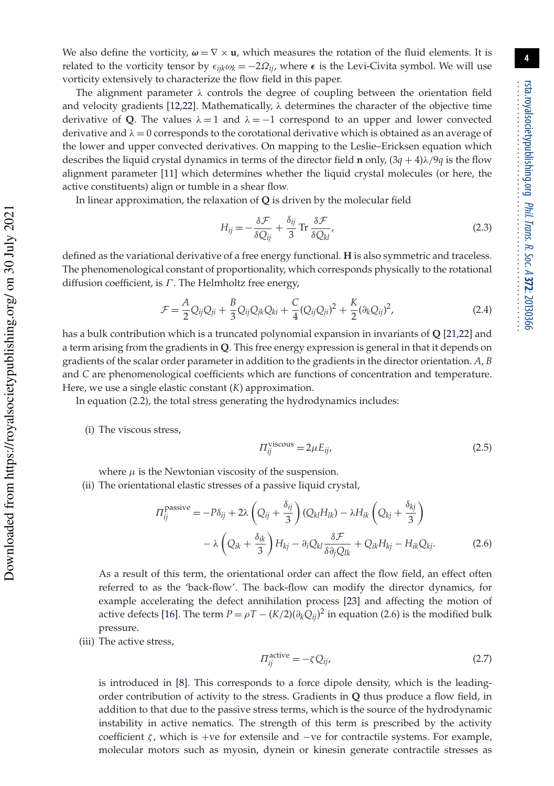We also define the vorticity,  $\omega = \nabla \times \mathbf{u}$ , which measures the rotation of the fluid elements. It is related to the vorticity tensor by  $\epsilon_{ijk}\omega_k = -2\Omega_{ij}$ , where  $\epsilon$  is the Levi-Civita symbol. We will use vorticity extensively to characterize the flow field in this paper.

The alignment parameter  $\lambda$  controls the degree of coupling between the orientation field and velocity gradients [12,22]. Mathematically,  $\lambda$  determines the character of the objective time derivative of Q. The values  $\lambda = 1$  and  $\lambda = -1$  correspond to an upper and lower convected derivative and  $\lambda = 0$  corresponds to the corotational derivative which is obtained as an average of the lower and upper convected derivatives. On mapping to the Leslie–Ericksen equation which describes the liquid crystal dynamics in terms of the director field **n** only,  $(3q + 4)\lambda/9q$  is the flow alignment parameter [11] which determines whether the liquid crystal molecules (or here, the active constituents) align or tumble in a shear flow.

In linear approximation, the relaxation of **Q** is driven by the molecular field

$$
H_{ij} = -\frac{\delta \mathcal{F}}{\delta Q_{ij}} + \frac{\delta_{ij}}{3} \operatorname{Tr} \frac{\delta \mathcal{F}}{\delta Q_{kl}},\tag{2.3}
$$

defined as the variational derivative of a free energy functional. **H** is also symmetric and traceless. The phenomenological constant of proportionality, which corresponds physically to the rotational diffusion coefficient, is  $\Gamma$ . The Helmholtz free energy,

$$
\mathcal{F} = \frac{A}{2} Q_{ij} Q_{ji} + \frac{B}{3} Q_{ij} Q_{jk} Q_{ki} + \frac{C}{4} (Q_{ij} Q_{ji})^2 + \frac{K}{2} (\partial_k Q_{ij})^2, \tag{2.4}
$$

has a bulk contribution which is a truncated polynomial expansion in invariants of **Q** [21,22] and a term arising from the gradients in **Q**. This free energy expression is general in that it depends on gradients of the scalar order parameter in addition to the gradients in the director orientation. *A*, *B* and *C* are phenomenological coefficients which are functions of concentration and temperature. Here, we use a single elastic constant (*K*) approximation.

In equation (2.2), the total stress generating the hydrodynamics includes:

(i) The viscous stress,

$$
\Pi_{ij}^{\text{viscous}} = 2\mu E_{ij},\tag{2.5}
$$

where  $\mu$  is the Newtonian viscosity of the suspension.

(ii) The orientational elastic stresses of a passive liquid crystal,

$$
\Pi_{ij}^{\text{passive}} = -P\delta_{ij} + 2\lambda \left(Q_{ij} + \frac{\delta_{ij}}{3}\right) \left(Q_{kl}H_{lk}\right) - \lambda H_{ik}\left(Q_{kj} + \frac{\delta_{kj}}{3}\right) \n- \lambda \left(Q_{ik} + \frac{\delta_{ik}}{3}\right) H_{kj} - \partial_i Q_{kl} \frac{\delta \mathcal{F}}{\delta \partial_j Q_{lk}} + Q_{ik}H_{kj} - H_{ik}Q_{kj}.
$$
\n(2.6)

As a result of this term, the orientational order can affect the flow field, an effect often referred to as the 'back-flow'. The back-flow can modify the director dynamics, for example accelerating the defect annihilation process [23] and affecting the motion of active defects [16]. The term  $P = \rho T - (K/2)(\partial_k Q_{ij})^2$  in equation (2.6) is the modified bulk pressure.

(iii) The active stress,

$$
\Pi_{ij}^{\text{active}} = -\zeta Q_{ij},\tag{2.7}
$$

is introduced in [8]. This corresponds to a force dipole density, which is the leadingorder contribution of activity to the stress. Gradients in **Q** thus produce a flow field, in addition to that due to the passive stress terms, which is the source of the hydrodynamic instability in active nematics. The strength of this term is prescribed by the activity coefficient  $\zeta$ , which is +ve for extensile and −ve for contractile systems. For example, molecular motors such as myosin, dynein or kinesin generate contractile stresses as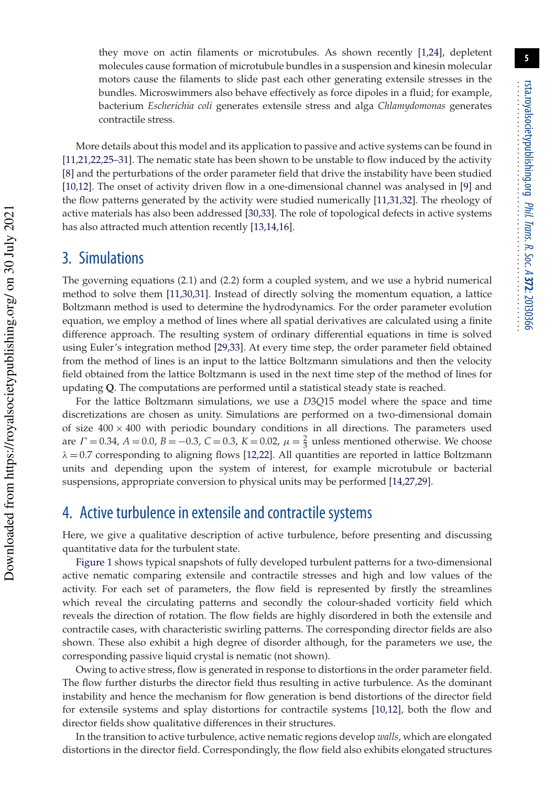they move on actin filaments or microtubules. As shown recently [1,24], depletent molecules cause formation of microtubule bundles in a suspension and kinesin molecular motors cause the filaments to slide past each other generating extensile stresses in the bundles. Microswimmers also behave effectively as force dipoles in a fluid; for example, bacterium *Escherichia coli* generates extensile stress and alga *Chlamydomonas* generates contractile stress.

More details about this model and its application to passive and active systems can be found in [11,21,22,25–31]. The nematic state has been shown to be unstable to flow induced by the activity [8] and the perturbations of the order parameter field that drive the instability have been studied [10,12]. The onset of activity driven flow in a one-dimensional channel was analysed in [9] and the flow patterns generated by the activity were studied numerically [11,31,32]. The rheology of active materials has also been addressed [30,33]. The role of topological defects in active systems has also attracted much attention recently [13,14,16].

## 3. Simulations

The governing equations (2.1) and (2.2) form a coupled system, and we use a hybrid numerical method to solve them [11,30,31]. Instead of directly solving the momentum equation, a lattice Boltzmann method is used to determine the hydrodynamics. For the order parameter evolution equation, we employ a method of lines where all spatial derivatives are calculated using a finite difference approach. The resulting system of ordinary differential equations in time is solved using Euler's integration method [29,33]. At every time step, the order parameter field obtained from the method of lines is an input to the lattice Boltzmann simulations and then the velocity field obtained from the lattice Boltzmann is used in the next time step of the method of lines for updating **Q**. The computations are performed until a statistical steady state is reached.

For the lattice Boltzmann simulations, we use a *D*3*Q*15 model where the space and time discretizations are chosen as unity. Simulations are performed on a two-dimensional domain of size  $400 \times 400$  with periodic boundary conditions in all directions. The parameters used are  $\Gamma = 0.34$ ,  $A = 0.0$ ,  $B = -0.3$ ,  $C = 0.3$ ,  $K = 0.02$ ,  $\mu = \frac{2}{3}$  unless mentioned otherwise. We choose  $\lambda = 0.7$  corresponding to aligning flows [12,22]. All quantities are reported in lattice Boltzmann units and depending upon the system of interest, for example microtubule or bacterial suspensions, appropriate conversion to physical units may be performed [14,27,29].

# 4. Active turbulence in extensile and contractile systems

Here, we give a qualitative description of active turbulence, before presenting and discussing quantitative data for the turbulent state.

Figure 1 shows typical snapshots of fully developed turbulent patterns for a two-dimensional active nematic comparing extensile and contractile stresses and high and low values of the activity. For each set of parameters, the flow field is represented by firstly the streamlines which reveal the circulating patterns and secondly the colour-shaded vorticity field which reveals the direction of rotation. The flow fields are highly disordered in both the extensile and contractile cases, with characteristic swirling patterns. The corresponding director fields are also shown. These also exhibit a high degree of disorder although, for the parameters we use, the corresponding passive liquid crystal is nematic (not shown).

Owing to active stress, flow is generated in response to distortions in the order parameter field. The flow further disturbs the director field thus resulting in active turbulence. As the dominant instability and hence the mechanism for flow generation is bend distortions of the director field for extensile systems and splay distortions for contractile systems [10,12], both the flow and director fields show qualitative differences in their structures.

In the transition to active turbulence, active nematic regions develop *walls*, which are elongated distortions in the director field. Correspondingly, the flow field also exhibits elongated structures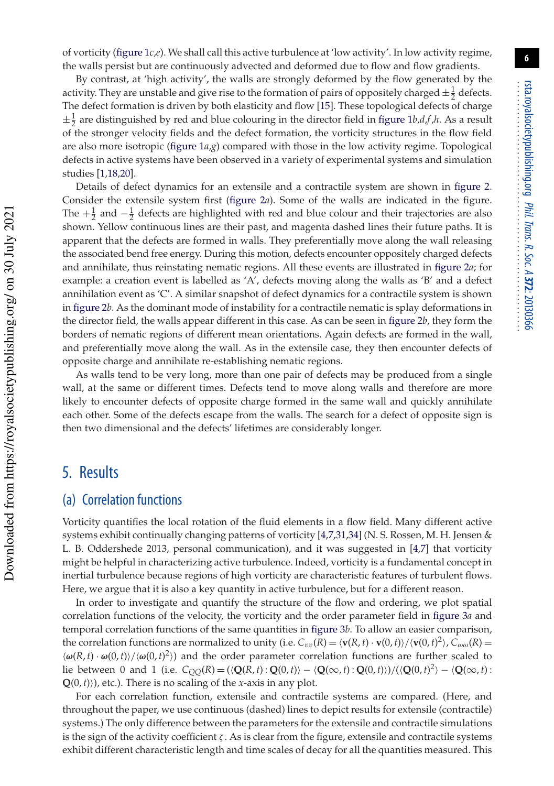of vorticity (figure 1*c*,*e*). We shall call this active turbulence at 'low activity'. In low activity regime, the walls persist but are continuously advected and deformed due to flow and flow gradients.

By contrast, at 'high activity', the walls are strongly deformed by the flow generated by the activity. They are unstable and give rise to the formation of pairs of oppositely charged  $\pm \frac{1}{2}$  defects. The defect formation is driven by both elasticity and flow [15]. These topological defects of charge  $\pm \frac{1}{2}$  are distinguished by red and blue colouring in the director field in figure 1*b*,*d*,*f*,*h*. As a result of the stronger velocity fields and the defect formation, the vorticity structures in the flow field are also more isotropic (figure 1*a*,*g*) compared with those in the low activity regime. Topological defects in active systems have been observed in a variety of experimental systems and simulation studies [1,18,20].

Details of defect dynamics for an extensile and a contractile system are shown in figure 2. Consider the extensile system first (figure 2*a*). Some of the walls are indicated in the figure. The  $+\frac{1}{2}$  and  $-\frac{1}{2}$  defects are highlighted with red and blue colour and their trajectories are also shown. Yellow continuous lines are their past, and magenta dashed lines their future paths. It is apparent that the defects are formed in walls. They preferentially move along the wall releasing the associated bend free energy. During this motion, defects encounter oppositely charged defects and annihilate, thus reinstating nematic regions. All these events are illustrated in figure 2*a*; for example: a creation event is labelled as 'A', defects moving along the walls as 'B' and a defect annihilation event as 'C'. A similar snapshot of defect dynamics for a contractile system is shown in figure 2*b*. As the dominant mode of instability for a contractile nematic is splay deformations in the director field, the walls appear different in this case. As can be seen in figure 2*b*, they form the borders of nematic regions of different mean orientations. Again defects are formed in the wall, and preferentially move along the wall. As in the extensile case, they then encounter defects of opposite charge and annihilate re-establishing nematic regions.

As walls tend to be very long, more than one pair of defects may be produced from a single wall, at the same or different times. Defects tend to move along walls and therefore are more likely to encounter defects of opposite charge formed in the same wall and quickly annihilate each other. Some of the defects escape from the walls. The search for a defect of opposite sign is then two dimensional and the defects' lifetimes are considerably longer.

## 5. Results

 Downloaded from https://royalsocietypublishing.org/ on 30 July 2021 Downloaded from https://royalsocietypublishing.org/ on 30 July 2021

## (a) Correlation functions

Vorticity quantifies the local rotation of the fluid elements in a flow field. Many different active systems exhibit continually changing patterns of vorticity [4,7,31,34] (N. S. Rossen, M. H. Jensen & L. B. Oddershede 2013, personal communication), and it was suggested in [4,7] that vorticity might be helpful in characterizing active turbulence. Indeed, vorticity is a fundamental concept in inertial turbulence because regions of high vorticity are characteristic features of turbulent flows. Here, we argue that it is also a key quantity in active turbulence, but for a different reason.

In order to investigate and quantify the structure of the flow and ordering, we plot spatial correlation functions of the velocity, the vorticity and the order parameter field in figure 3*a* and temporal correlation functions of the same quantities in figure 3*b*. To allow an easier comparison, the correlation functions are normalized to unity (i.e.  $C_{vv}(R) = \langle \mathbf{v}(R,t) \cdot \mathbf{v}(0,t) \rangle / \langle \mathbf{v}(0,t)^2 \rangle$ ,  $C_{\omega\omega}(R) =$  $\langle \omega(R, t) \cdot \omega(0, t) \rangle / \langle \omega(0, t)^2 \rangle$  and the order parameter correlation functions are further scaled to lie between 0 and 1 (i.e.  $C_{QQ}(R) = (\langle \mathbf{Q}(R, t) : \mathbf{Q}(0, t) \rangle - \langle \mathbf{Q}(\infty, t) : \mathbf{Q}(0, t) \rangle) / (\langle \mathbf{Q}(0, t)^2 \rangle - \langle \mathbf{Q}(\infty, t) : \mathbf{Q}(0, t) \rangle)$ **Q**(0,*t*)), etc.). There is no scaling of the *x*-axis in any plot.

For each correlation function, extensile and contractile systems are compared. (Here, and throughout the paper, we use continuous (dashed) lines to depict results for extensile (contractile) systems.) The only difference between the parameters for the extensile and contractile simulations is the sign of the activity coefficient  $\zeta$ . As is clear from the figure, extensile and contractile systems exhibit different characteristic length and time scales of decay for all the quantities measured. This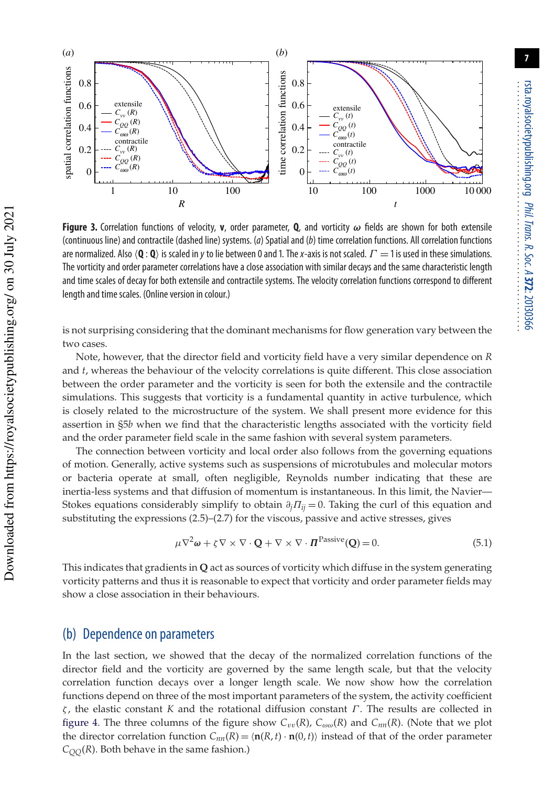

**Figure 3.** Correlation functions of velocity, **v**, order parameter, **Q**, and vorticity ω fields are shown for both extensile (continuous line) and contractile (dashed line) systems. ( $a$ ) Spatial and ( $b$ ) time correlation functions. All correlation functions are normalized. Also  $\langle \mathbf{Q} : \mathbf{Q} \rangle$  is scaled in y to lie between 0 and 1. The x-axis is not scaled.  $\Gamma = 1$  is used in these simulations. The vorticity and order parameter correlations have a close association with similar decays and the same characteristic length and time scales of decay for both extensile and contractile systems. The velocity correlation functions correspond to different length and time scales. (Online version in colour.)

is not surprising considering that the dominant mechanisms for flow generation vary between the two cases.

Note, however, that the director field and vorticity field have a very similar dependence on *R* and *t*, whereas the behaviour of the velocity correlations is quite different. This close association between the order parameter and the vorticity is seen for both the extensile and the contractile simulations. This suggests that vorticity is a fundamental quantity in active turbulence, which is closely related to the microstructure of the system. We shall present more evidence for this assertion in §5*b* when we find that the characteristic lengths associated with the vorticity field and the order parameter field scale in the same fashion with several system parameters.

The connection between vorticity and local order also follows from the governing equations of motion. Generally, active systems such as suspensions of microtubules and molecular motors or bacteria operate at small, often negligible, Reynolds number indicating that these are inertia-less systems and that diffusion of momentum is instantaneous. In this limit, the Navier— Stokes equations considerably simplify to obtain  $\partial_i \Pi_{ij} = 0$ . Taking the curl of this equation and substituting the expressions (2.5)–(2.7) for the viscous, passive and active stresses, gives

$$
\mu \nabla^2 \omega + \zeta \nabla \times \nabla \cdot \mathbf{Q} + \nabla \times \nabla \cdot \mathbf{\Pi}^{\text{Passive}}(\mathbf{Q}) = 0. \tag{5.1}
$$

This indicates that gradients in **Q** act as sources of vorticity which diffuse in the system generating vorticity patterns and thus it is reasonable to expect that vorticity and order parameter fields may show a close association in their behaviours.

#### (b) Dependence on parameters

In the last section, we showed that the decay of the normalized correlation functions of the director field and the vorticity are governed by the same length scale, but that the velocity correlation function decays over a longer length scale. We now show how the correlation functions depend on three of the most important parameters of the system, the activity coefficient ζ , the elastic constant *K* and the rotational diffusion constant Γ . The results are collected in figure 4. The three columns of the figure show  $C_{vv}(R)$ ,  $C_{\omega\omega}(R)$  and  $C_{nn}(R)$ . (Note that we plot the director correlation function  $C_{nn}(R) = \langle \mathbf{n}(R,t) \cdot \mathbf{n}(0,t) \rangle$  instead of that of the order parameter  $C_{QQ}$ (*R*). Both behave in the same fashion.)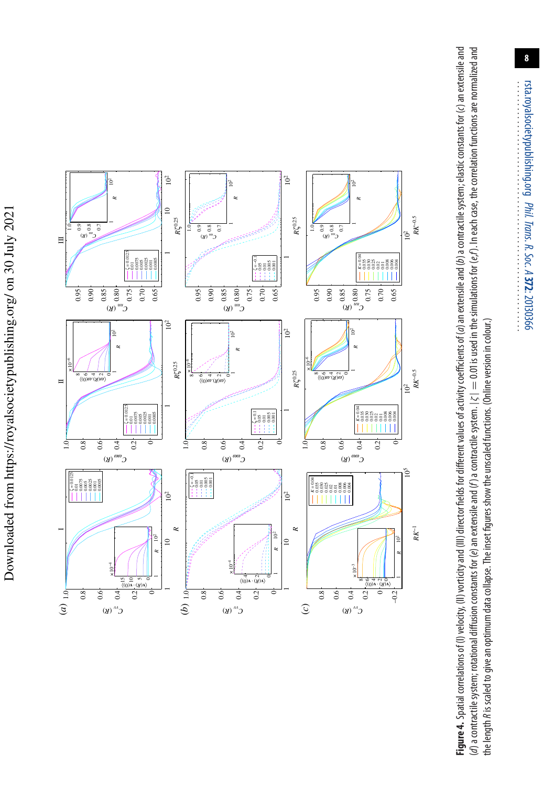

Figure 4. Spatial correlations of (I) yelocity, (II) yorticity and (III) director fields for different values of activity coefficients of (a) an extensile and (b) a contractile system; elastic constants for (c) an extensil (d) a contractile system; rotational diffusion constants for (e) an extensile and (f) a contractile system.  $|\zeta| = 0.01$  is used in the simulations for (e,f). In each case, the correlation functions are normalized and Figure 4. Spatial correlations of (I) vorticity, (II) vorticity and (III) director fields for different values of activity coefficients of (a) an extensile and (b) a contractile system; elastic constants for (c) an extensi (d) a contractile system; rotational diffusion constants for (e) an extensile and (f) a contractile system. |ζ | = 0.01 is used in the simulations for (e,f). In each case, the correlation functions are normalized and the length *R* is scaled to give an optimum data collapse. The inset figures show the unscaled functions. (Online version in colour.) the length Ris scaled to give an optimum data collapse. The inset figures show the unscaled functions. (Online version in colour.)

rsta.royalsocietypublishing.org

Phil. Trans. R. Soc. A

: 20130366

rsta.royalsocietypublishing.org Phil. Trans. R. Soc. A 372: 20130366

.........................................................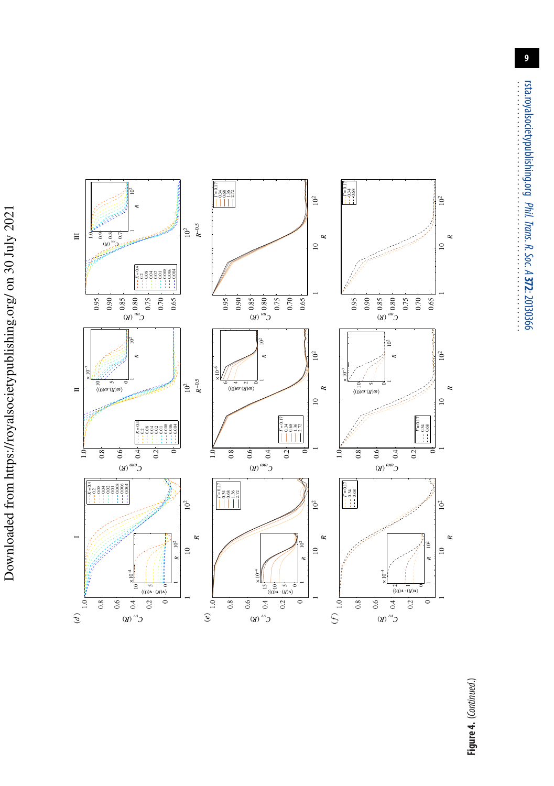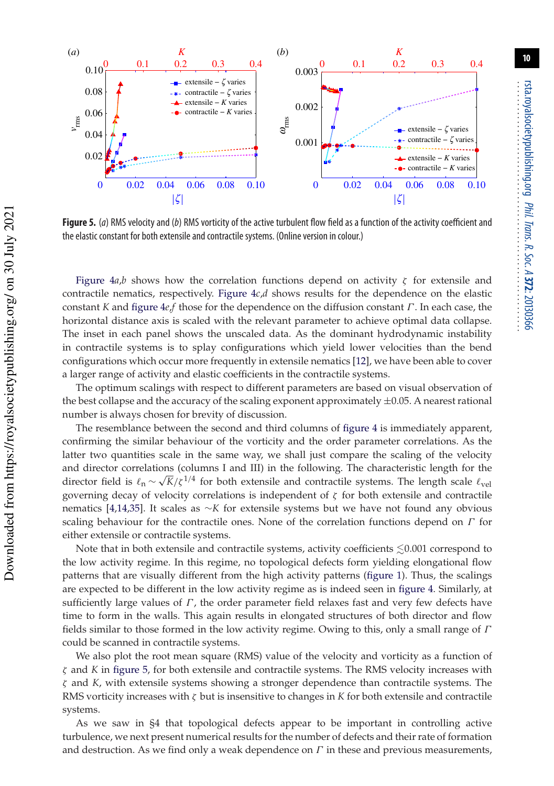

**Figure 5.** (a) RMS velocity and (b) RMS vorticity of the active turbulent flow field as a function of the activity coefficient and the elastic constant for both extensile and contractile systems. (Online version in colour.)

Figure  $4a$ ,*b* shows how the correlation functions depend on activity  $\zeta$  for extensile and contractile nematics, respectively. Figure 4*c*,*d* shows results for the dependence on the elastic constant *K* and figure 4*e*,*f* those for the dependence on the diffusion constant Γ . In each case, the horizontal distance axis is scaled with the relevant parameter to achieve optimal data collapse. The inset in each panel shows the unscaled data. As the dominant hydrodynamic instability in contractile systems is to splay configurations which yield lower velocities than the bend configurations which occur more frequently in extensile nematics [12], we have been able to cover a larger range of activity and elastic coefficients in the contractile systems.

The optimum scalings with respect to different parameters are based on visual observation of the best collapse and the accuracy of the scaling exponent approximately  $\pm 0.05$ . A nearest rational number is always chosen for brevity of discussion.

The resemblance between the second and third columns of figure 4 is immediately apparent, confirming the similar behaviour of the vorticity and the order parameter correlations. As the latter two quantities scale in the same way, we shall just compare the scaling of the velocity and director correlations (columns I and III) in the following. The characteristic length for the director field is  $\ell_n \sim \sqrt{K}/\zeta^{1/4}$  for both extensile and contractile systems. The length scale  $\ell_{\text{vel}}$ governing decay of velocity correlations is independent of  $\zeta$  for both extensile and contractile nematics [4,14,35]. It scales as ∼*K* for extensile systems but we have not found any obvious scaling behaviour for the contractile ones. None of the correlation functions depend on  $\Gamma$  for either extensile or contractile systems.

Note that in both extensile and contractile systems, activity coefficients  $\lesssim$ 0.001 correspond to the low activity regime. In this regime, no topological defects form yielding elongational flow patterns that are visually different from the high activity patterns (figure 1). Thus, the scalings are expected to be different in the low activity regime as is indeed seen in figure 4. Similarly, at sufficiently large values of  $\Gamma$ , the order parameter field relaxes fast and very few defects have time to form in the walls. This again results in elongated structures of both director and flow fields similar to those formed in the low activity regime. Owing to this, only a small range of  $\Gamma$ could be scanned in contractile systems.

We also plot the root mean square (RMS) value of the velocity and vorticity as a function of ζ and *K* in figure 5, for both extensile and contractile systems. The RMS velocity increases with ζ and *K*, with extensile systems showing a stronger dependence than contractile systems. The RMS vorticity increases with ζ but is insensitive to changes in *K* for both extensile and contractile systems.

As we saw in §4 that topological defects appear to be important in controlling active turbulence, we next present numerical results for the number of defects and their rate of formation and destruction. As we find only a weak dependence on  $\Gamma$  in these and previous measurements,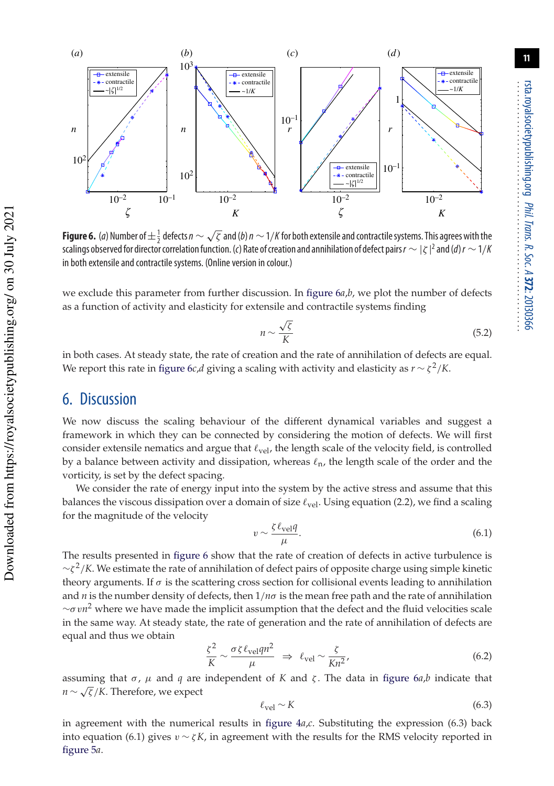

**Figure 6.** (a) Number of  $\pm \frac{1}{2}$  defects  $n \sim \sqrt{\zeta}$  and (b)  $n \sim 1/K$  for both extensile and contractile systems. This agrees with the scalings observed for director correlation function. (c) Rate of creation and annihilation of defect pairs  $r \sim |\zeta|^2$  and (d)  $r \sim 1/k$ in both extensile and contractile systems. (Online version in colour.)

we exclude this parameter from further discussion. In figure 6*a*,*b*, we plot the number of defects as a function of activity and elasticity for extensile and contractile systems finding

$$
n \sim \frac{\sqrt{\zeta}}{K} \tag{5.2}
$$

in both cases. At steady state, the rate of creation and the rate of annihilation of defects are equal. We report this rate in figure  $6c$ ,*d* giving a scaling with activity and elasticity as  $r \sim \zeta^2/K$ .

### 6. Discussion

We now discuss the scaling behaviour of the different dynamical variables and suggest a framework in which they can be connected by considering the motion of defects. We will first consider extensile nematics and argue that  $\ell_{\text{vel}}$ , the length scale of the velocity field, is controlled by a balance between activity and dissipation, whereas  $\ell_n$ , the length scale of the order and the vorticity, is set by the defect spacing.

We consider the rate of energy input into the system by the active stress and assume that this balances the viscous dissipation over a domain of size  $\ell_{\text{vel}}$ . Using equation (2.2), we find a scaling for the magnitude of the velocity

$$
v \sim \frac{\zeta \ell_{\text{vel}} q}{\mu}.\tag{6.1}
$$

The results presented in figure 6 show that the rate of creation of defects in active turbulence is ∼ζ 2 /*K*. We estimate the rate of annihilation of defect pairs of opposite charge using simple kinetic theory arguments. If  $\sigma$  is the scattering cross section for collisional events leading to annihilation and *n* is the number density of defects, then 1/*n*σ is the mean free path and the rate of annihilation ∼σ v*n* <sup>2</sup> where we have made the implicit assumption that the defect and the fluid velocities scale in the same way. At steady state, the rate of generation and the rate of annihilation of defects are equal and thus we obtain

$$
\frac{\zeta^2}{K} \sim \frac{\sigma \zeta \ell_{\text{vel}} q n^2}{\mu} \Rightarrow \ell_{\text{vel}} \sim \frac{\zeta}{K n^2},\tag{6.2}
$$

assuming that  $σ$ ,  $μ$  and  $q$  are independent of  $K$  and  $ζ$ . The data in figure 6*a*,*b* indicate that *n* ∼ √ ζ /*K*. Therefore, we expect

$$
\ell_{\rm vel} \sim K \tag{6.3}
$$

in agreement with the numerical results in figure 4*a*,*c*. Substituting the expression (6.3) back into equation (6.1) gives  $v \sim \zeta K$ , in agreement with the results for the RMS velocity reported in figure 5*a*.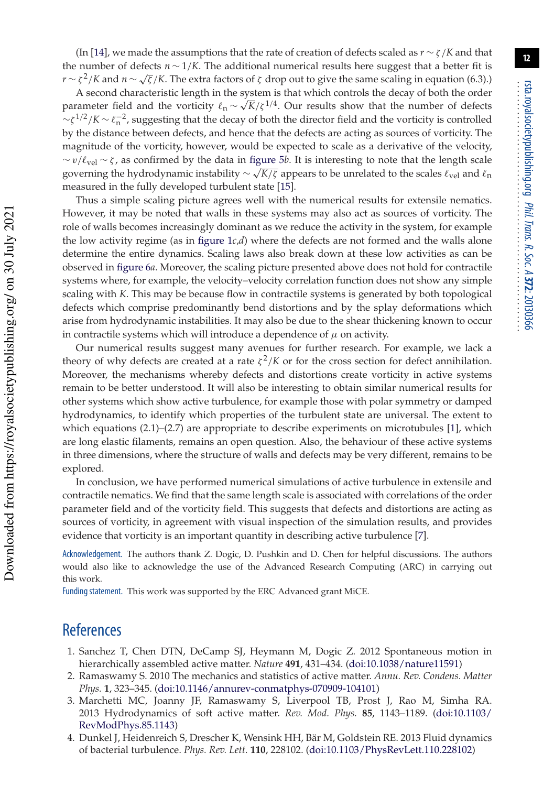(In [14], we made the assumptions that the rate of creation of defects scaled as *r* ∼ ζ/*K* and that the number of defects  $n \sim 1/K$ . The additional numerical results here suggest that a better fit is *r* ∼  $\zeta^2/K$  and *n* ∼  $\sqrt{\zeta}/K$ . The extra factors of  $\zeta$  drop out to give the same scaling in equation (6.3).)

A second characteristic length in the system is that which controls the decay of both the order parameter field and the vorticity  $\ell_n \sim \sqrt{K}/\zeta^{1/4}$ . Our results show that the number of defects  $\sim \zeta^{1/2}/K \sim \ell_n^{-2}$ , suggesting that the decay of both the director field and the vorticity is controlled by the distance between defects, and hence that the defects are acting as sources of vorticity. The magnitude of the vorticity, however, would be expected to scale as a derivative of the velocity, ∼ v/ℓvel ∼ ζ , as confirmed by the data in figure 5*b*. It is interesting to note that the length scale governing the hydrodynamic instability  $\sim \sqrt{K/\zeta}$  appears to be unrelated to the scales  $\ell_{vel}$  and  $\ell_n$ measured in the fully developed turbulent state [15].

Thus a simple scaling picture agrees well with the numerical results for extensile nematics. However, it may be noted that walls in these systems may also act as sources of vorticity. The role of walls becomes increasingly dominant as we reduce the activity in the system, for example the low activity regime (as in figure  $1c,d$ ) where the defects are not formed and the walls alone determine the entire dynamics. Scaling laws also break down at these low activities as can be observed in figure 6*a*. Moreover, the scaling picture presented above does not hold for contractile systems where, for example, the velocity–velocity correlation function does not show any simple scaling with *K*. This may be because flow in contractile systems is generated by both topological defects which comprise predominantly bend distortions and by the splay deformations which arise from hydrodynamic instabilities. It may also be due to the shear thickening known to occur in contractile systems which will introduce a dependence of  $\mu$  on activity.

Our numerical results suggest many avenues for further research. For example, we lack a theory of why defects are created at a rate  $\zeta^2/K$  or for the cross section for defect annihilation. Moreover, the mechanisms whereby defects and distortions create vorticity in active systems remain to be better understood. It will also be interesting to obtain similar numerical results for other systems which show active turbulence, for example those with polar symmetry or damped hydrodynamics, to identify which properties of the turbulent state are universal. The extent to which equations (2.1)–(2.7) are appropriate to describe experiments on microtubules [1], which are long elastic filaments, remains an open question. Also, the behaviour of these active systems in three dimensions, where the structure of walls and defects may be very different, remains to be explored.

In conclusion, we have performed numerical simulations of active turbulence in extensile and contractile nematics. We find that the same length scale is associated with correlations of the order parameter field and of the vorticity field. This suggests that defects and distortions are acting as sources of vorticity, in agreement with visual inspection of the simulation results, and provides evidence that vorticity is an important quantity in describing active turbulence [7].

Acknowledgement. The authors thank Z. Dogic, D. Pushkin and D. Chen for helpful discussions. The authors would also like to acknowledge the use of the Advanced Research Computing (ARC) in carrying out this work.

Funding statement. This work was supported by the ERC Advanced grant MiCE.

# **References**

- 1. Sanchez T, Chen DTN, DeCamp SJ, Heymann M, Dogic Z. 2012 Spontaneous motion in hierarchically assembled active matter. *Nature* **491**, 431–434. (doi:10.1038/nature11591)
- 2. Ramaswamy S. 2010 The mechanics and statistics of active matter. *Annu. Rev. Condens. Matter Phys.* **1**, 323–345. (doi:10.1146/annurev-conmatphys-070909-104101)
- 3. Marchetti MC, Joanny JF, Ramaswamy S, Liverpool TB, Prost J, Rao M, Simha RA. 2013 Hydrodynamics of soft active matter. *Rev. Mod. Phys.* **85**, 1143–1189. (doi:10.1103/ RevModPhys.85.1143)
- 4. Dunkel J, Heidenreich S, Drescher K, Wensink HH, Bär M, Goldstein RE. 2013 Fluid dynamics of bacterial turbulence. *Phys. Rev. Lett.* **110**, 228102. (doi:10.1103/PhysRevLett.110.228102)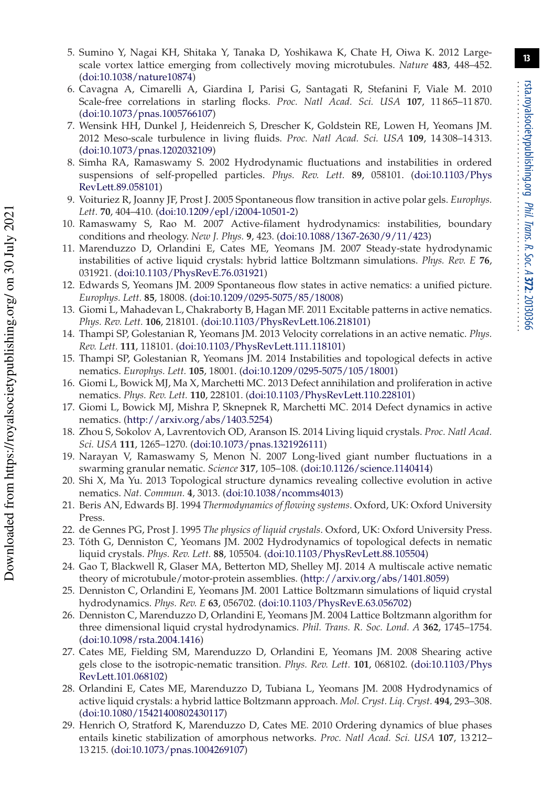- 5. Sumino Y, Nagai KH, Shitaka Y, Tanaka D, Yoshikawa K, Chate H, Oiwa K. 2012 Largescale vortex lattice emerging from collectively moving microtubules. *Nature* **483**, 448–452. (doi:10.1038/nature10874)
- 6. Cavagna A, Cimarelli A, Giardina I, Parisi G, Santagati R, Stefanini F, Viale M. 2010 Scale-free correlations in starling flocks. *Proc. Natl Acad. Sci. USA* **107**, 11 865–11 870. (doi:10.1073/pnas.1005766107)
- 7. Wensink HH, Dunkel J, Heidenreich S, Drescher K, Goldstein RE, Lowen H, Yeomans JM. 2012 Meso-scale turbulence in living fluids. *Proc. Natl Acad. Sci. USA* **109**, 14 308–14 313. (doi:10.1073/pnas.1202032109)
- 8. Simha RA, Ramaswamy S. 2002 Hydrodynamic fluctuations and instabilities in ordered suspensions of self-propelled particles. *Phys. Rev. Lett.* **89**, 058101. (doi:10.1103/Phys RevLett.89.058101)
- 9. Voituriez R, Joanny JF, Prost J. 2005 Spontaneous flow transition in active polar gels. *Europhys. Lett.* **70**, 404–410. (doi:10.1209/epl/i2004-10501-2)
- 10. Ramaswamy S, Rao M. 2007 Active-filament hydrodynamics: instabilities, boundary conditions and rheology. *New J. Phys.* **9**, 423. (doi:10.1088/1367-2630/9/11/423)
- 11. Marenduzzo D, Orlandini E, Cates ME, Yeomans JM. 2007 Steady-state hydrodynamic instabilities of active liquid crystals: hybrid lattice Boltzmann simulations. *Phys. Rev. E* **76**, 031921. (doi:10.1103/PhysRevE.76.031921)
- 12. Edwards S, Yeomans JM. 2009 Spontaneous flow states in active nematics: a unified picture. *Europhys. Lett.* **85**, 18008. (doi:10.1209/0295-5075/85/18008)
- 13. Giomi L, Mahadevan L, Chakraborty B, Hagan MF. 2011 Excitable patterns in active nematics. *Phys. Rev. Lett.* **106**, 218101. (doi:10.1103/PhysRevLett.106.218101)
- 14. Thampi SP, Golestanian R, Yeomans JM. 2013 Velocity correlations in an active nematic. *Phys. Rev. Lett.* **111**, 118101. (doi:10.1103/PhysRevLett.111.118101)
- 15. Thampi SP, Golestanian R, Yeomans JM. 2014 Instabilities and topological defects in active nematics. *Europhys. Lett.* **105**, 18001. (doi:10.1209/0295-5075/105/18001)
- 16. Giomi L, Bowick MJ, Ma X, Marchetti MC. 2013 Defect annihilation and proliferation in active nematics. *Phys. Rev. Lett.* **110**, 228101. (doi:10.1103/PhysRevLett.110.228101)
- 17. Giomi L, Bowick MJ, Mishra P, Sknepnek R, Marchetti MC. 2014 Defect dynamics in active nematics. (http://arxiv.org/abs/1403.5254)
- 18. Zhou S, Sokolov A, Lavrentovich OD, Aranson IS. 2014 Living liquid crystals. *Proc. Natl Acad. Sci. USA* **111**, 1265–1270. (doi:10.1073/pnas.1321926111)
- 19. Narayan V, Ramaswamy S, Menon N. 2007 Long-lived giant number fluctuations in a swarming granular nematic. *Science* **317**, 105–108. (doi:10.1126/science.1140414)
- 20. Shi X, Ma Yu. 2013 Topological structure dynamics revealing collective evolution in active nematics. *Nat. Commun.* **4**, 3013. (doi:10.1038/ncomms4013)
- 21. Beris AN, Edwards BJ. 1994 *Thermodynamics of flowing systems*. Oxford, UK: Oxford University Press.
- 22. de Gennes PG, Prost J. 1995 *The physics of liquid crystals*. Oxford, UK: Oxford University Press.
- 23. Tóth G, Denniston C, Yeomans JM. 2002 Hydrodynamics of topological defects in nematic liquid crystals. *Phys. Rev. Lett.* **88**, 105504. (doi:10.1103/PhysRevLett.88.105504)
- 24. Gao T, Blackwell R, Glaser MA, Betterton MD, Shelley MJ. 2014 A multiscale active nematic theory of microtubule/motor-protein assemblies. (http://arxiv.org/abs/1401.8059)
- 25. Denniston C, Orlandini E, Yeomans JM. 2001 Lattice Boltzmann simulations of liquid crystal hydrodynamics. *Phys. Rev. E* **63**, 056702. (doi:10.1103/PhysRevE.63.056702)
- 26. Denniston C, Marenduzzo D, Orlandini E, Yeomans JM. 2004 Lattice Boltzmann algorithm for three dimensional liquid crystal hydrodynamics. *Phil. Trans. R. Soc. Lond. A* **362**, 1745–1754. (doi:10.1098/rsta.2004.1416)
- 27. Cates ME, Fielding SM, Marenduzzo D, Orlandini E, Yeomans JM. 2008 Shearing active gels close to the isotropic-nematic transition. *Phys. Rev. Lett.* **101**, 068102. (doi:10.1103/Phys RevLett.101.068102)
- 28. Orlandini E, Cates ME, Marenduzzo D, Tubiana L, Yeomans JM. 2008 Hydrodynamics of active liquid crystals: a hybrid lattice Boltzmann approach. *Mol. Cryst. Liq. Cryst.* **494**, 293–308. (doi:10.1080/15421400802430117)
- 29. Henrich O, Stratford K, Marenduzzo D, Cates ME. 2010 Ordering dynamics of blue phases entails kinetic stabilization of amorphous networks. *Proc. Natl Acad. Sci. USA* **107**, 13 212– 13 215. (doi:10.1073/pnas.1004269107)